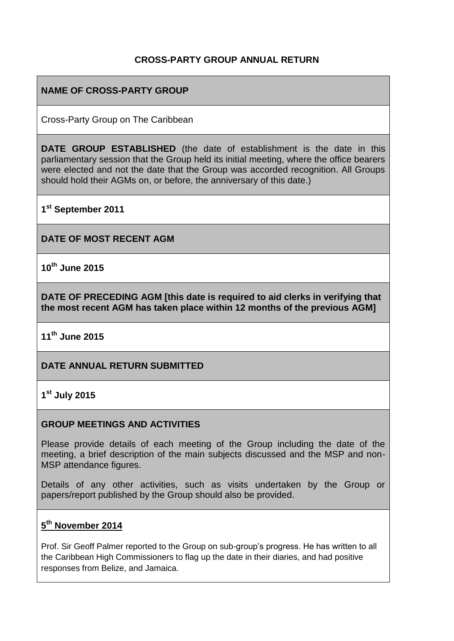# **CROSS-PARTY GROUP ANNUAL RETURN**

# **NAME OF CROSS-PARTY GROUP**

Cross-Party Group on The Caribbean

**DATE GROUP ESTABLISHED** (the date of establishment is the date in this parliamentary session that the Group held its initial meeting, where the office bearers were elected and not the date that the Group was accorded recognition. All Groups should hold their AGMs on, or before, the anniversary of this date.)

**1 st September 2011**

**DATE OF MOST RECENT AGM**

**10th June 2015**

**DATE OF PRECEDING AGM [this date is required to aid clerks in verifying that the most recent AGM has taken place within 12 months of the previous AGM]**

**11th June 2015**

### **DATE ANNUAL RETURN SUBMITTED**

# **1 st July 2015**

#### **GROUP MEETINGS AND ACTIVITIES**

Please provide details of each meeting of the Group including the date of the meeting, a brief description of the main subjects discussed and the MSP and non-MSP attendance figures.

Details of any other activities, such as visits undertaken by the Group or papers/report published by the Group should also be provided.

## **5 th November 2014**

Prof. Sir Geoff Palmer reported to the Group on sub-group's progress. He has written to all the Caribbean High Commissioners to flag up the date in their diaries, and had positive responses from Belize, and Jamaica.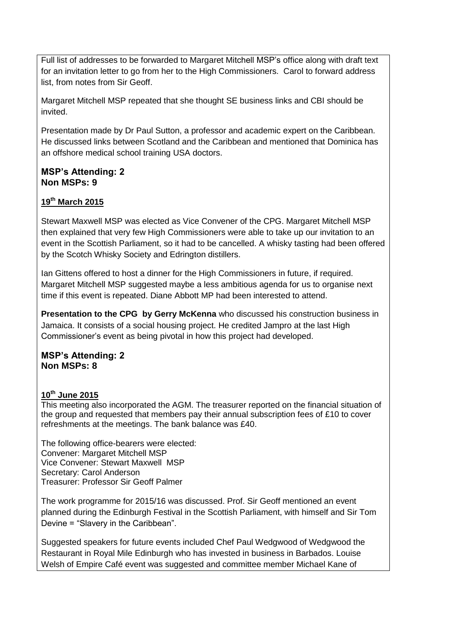Full list of addresses to be forwarded to Margaret Mitchell MSP's office along with draft text for an invitation letter to go from her to the High Commissioners. Carol to forward address list, from notes from Sir Geoff.

Margaret Mitchell MSP repeated that she thought SE business links and CBI should be invited.

Presentation made by Dr Paul Sutton, a professor and academic expert on the Caribbean. He discussed links between Scotland and the Caribbean and mentioned that Dominica has an offshore medical school training USA doctors.

#### **MSP's Attending: 2 Non MSPs: 9**

## **19th March 2015**

Stewart Maxwell MSP was elected as Vice Convener of the CPG. Margaret Mitchell MSP then explained that very few High Commissioners were able to take up our invitation to an event in the Scottish Parliament, so it had to be cancelled. A whisky tasting had been offered by the Scotch Whisky Society and Edrington distillers.

Ian Gittens offered to host a dinner for the High Commissioners in future, if required. Margaret Mitchell MSP suggested maybe a less ambitious agenda for us to organise next time if this event is repeated. Diane Abbott MP had been interested to attend.

**Presentation to the CPG by Gerry McKenna** who discussed his construction business in Jamaica. It consists of a social housing project. He credited Jampro at the last High Commissioner's event as being pivotal in how this project had developed.

## **MSP's Attending: 2 Non MSPs: 8**

### **10th June 2015**

This meeting also incorporated the AGM. The treasurer reported on the financial situation of the group and requested that members pay their annual subscription fees of £10 to cover refreshments at the meetings. The bank balance was £40.

The following office-bearers were elected: Convener: Margaret Mitchell MSP Vice Convener: Stewart Maxwell MSP Secretary: Carol Anderson Treasurer: Professor Sir Geoff Palmer

The work programme for 2015/16 was discussed. Prof. Sir Geoff mentioned an event planned during the Edinburgh Festival in the Scottish Parliament, with himself and Sir Tom Devine = "Slavery in the Caribbean".

Suggested speakers for future events included Chef Paul Wedgwood of Wedgwood the Restaurant in Royal Mile Edinburgh who has invested in business in Barbados. Louise Welsh of Empire Café event was suggested and committee member Michael Kane of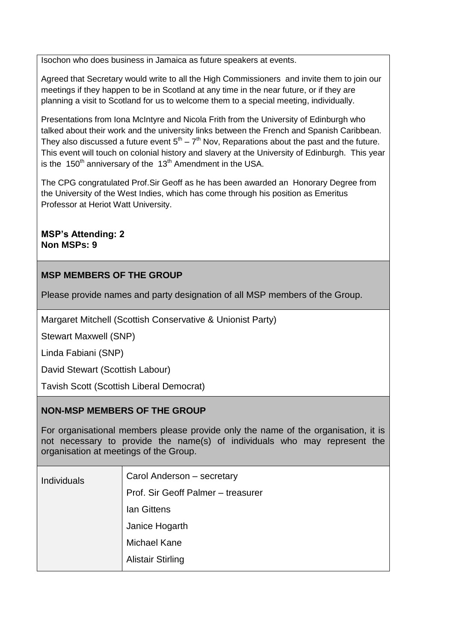Isochon who does business in Jamaica as future speakers at events.

Agreed that Secretary would write to all the High Commissioners and invite them to join our meetings if they happen to be in Scotland at any time in the near future, or if they are planning a visit to Scotland for us to welcome them to a special meeting, individually.

Presentations from Iona McIntyre and Nicola Frith from the University of Edinburgh who talked about their work and the university links between the French and Spanish Caribbean. They also discussed a future event  $5<sup>th</sup> - 7<sup>th</sup>$  Nov, Reparations about the past and the future. This event will touch on colonial history and slavery at the University of Edinburgh. This year is the 150<sup>th</sup> anniversary of the 13<sup>th</sup> Amendment in the USA.

The CPG congratulated Prof.Sir Geoff as he has been awarded an Honorary Degree from the University of the West Indies, which has come through his position as Emeritus Professor at Heriot Watt University.

**MSP's Attending: 2 Non MSPs: 9**

# **MSP MEMBERS OF THE GROUP**

Please provide names and party designation of all MSP members of the Group.

Margaret Mitchell (Scottish Conservative & Unionist Party)

Stewart Maxwell (SNP)

Linda Fabiani (SNP)

David Stewart (Scottish Labour)

Tavish Scott (Scottish Liberal Democrat)

# **NON-MSP MEMBERS OF THE GROUP**

For organisational members please provide only the name of the organisation, it is not necessary to provide the name(s) of individuals who may represent the organisation at meetings of the Group.

| <b>Individuals</b> | Carol Anderson - secretary         |
|--------------------|------------------------------------|
|                    | Prof. Sir Geoff Palmer - treasurer |
|                    | <b>Ian Gittens</b>                 |
|                    | Janice Hogarth                     |
|                    | <b>Michael Kane</b>                |
|                    | <b>Alistair Stirling</b>           |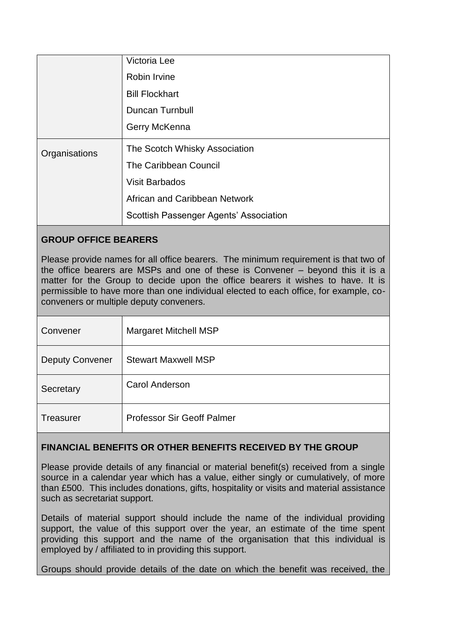|               | Victoria Lee                           |
|---------------|----------------------------------------|
|               | Robin Irvine                           |
|               | <b>Bill Flockhart</b>                  |
|               | <b>Duncan Turnbull</b>                 |
|               | Gerry McKenna                          |
| Organisations | The Scotch Whisky Association          |
|               | The Caribbean Council                  |
|               | <b>Visit Barbados</b>                  |
|               | African and Caribbean Network          |
|               | Scottish Passenger Agents' Association |
|               |                                        |

# **GROUP OFFICE BEARERS**

Please provide names for all office bearers. The minimum requirement is that two of the office bearers are MSPs and one of these is Convener – beyond this it is a matter for the Group to decide upon the office bearers it wishes to have. It is permissible to have more than one individual elected to each office, for example, coconveners or multiple deputy conveners.

| Convener               | Margaret Mitchell MSP             |
|------------------------|-----------------------------------|
| <b>Deputy Convener</b> | <b>Stewart Maxwell MSP</b>        |
| Secretary              | <b>Carol Anderson</b>             |
| <b>Treasurer</b>       | <b>Professor Sir Geoff Palmer</b> |

# **FINANCIAL BENEFITS OR OTHER BENEFITS RECEIVED BY THE GROUP**

Please provide details of any financial or material benefit(s) received from a single source in a calendar year which has a value, either singly or cumulatively, of more than £500. This includes donations, gifts, hospitality or visits and material assistance such as secretariat support.

Details of material support should include the name of the individual providing support, the value of this support over the year, an estimate of the time spent providing this support and the name of the organisation that this individual is employed by / affiliated to in providing this support.

Groups should provide details of the date on which the benefit was received, the